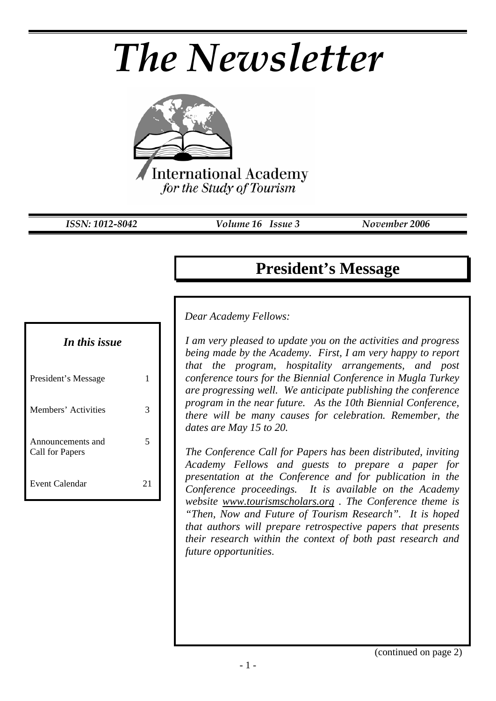# *The Newsletter*



*ISSN: 1012-8042 Volume 16 Issue 3 November 2006* 

### **President's Message**

*Dear Academy Fellows:* 

*I am very pleased to update you on the activities and progress being made by the Academy. First, I am very happy to report that the program, hospitality arrangements, and post conference tours for the Biennial Conference in Mugla Turkey are progressing well. We anticipate publishing the conference program in the near future. As the 10th Biennial Conference, there will be many causes for celebration. Remember, the dates are May 15 to 20.* 

*The Conference Call for Papers has been distributed, inviting Academy Fellows and guests to prepare a paper for presentation at the Conference and for publication in the Conference proceedings. It is available on the Academy website [www.tourismscholars.org](http://www.tourismscholars.org/) . The Conference theme is "Then, Now and Future of Tourism Research". It is hoped that authors will prepare retrospective papers that presents their research within the context of both past research and future opportunities*.

# *In this issue*

| President's Message                  | 1  |
|--------------------------------------|----|
| Members' Activities                  | 3  |
| Announcements and<br>Call for Papers | 5  |
| Event Calendar                       | 21 |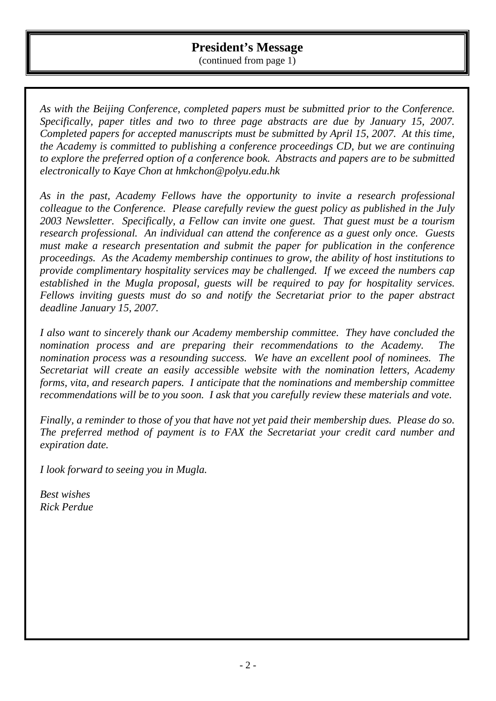#### **President's Message**

(continued from page 1)

*As with the Beijing Conference, completed papers must be submitted prior to the Conference. Specifically, paper titles and two to three page abstracts are due by January 15, 2007. Completed papers for accepted manuscripts must be submitted by April 15, 2007. At this time, the Academy is committed to publishing a conference proceedings CD, but we are continuing to explore the preferred option of a conference book. Abstracts and papers are to be submitted electronically to Kaye Chon at hmkchon@polyu.edu.hk* 

*As in the past, Academy Fellows have the opportunity to invite a research professional colleague to the Conference. Please carefully review the guest policy as published in the July 2003 Newsletter. Specifically, a Fellow can invite one guest. That guest must be a tourism research professional. An individual can attend the conference as a guest only once. Guests must make a research presentation and submit the paper for publication in the conference proceedings. As the Academy membership continues to grow, the ability of host institutions to provide complimentary hospitality services may be challenged. If we exceed the numbers cap established in the Mugla proposal, guests will be required to pay for hospitality services. Fellows inviting guests must do so and notify the Secretariat prior to the paper abstract deadline January 15, 2007.* 

*I also want to sincerely thank our Academy membership committee. They have concluded the nomination process and are preparing their recommendations to the Academy. The nomination process was a resounding success. We have an excellent pool of nominees. The Secretariat will create an easily accessible website with the nomination letters, Academy forms, vita, and research papers. I anticipate that the nominations and membership committee recommendations will be to you soon. I ask that you carefully review these materials and vote.* 

*Finally, a reminder to those of you that have not yet paid their membership dues. Please do so. The preferred method of payment is to FAX the Secretariat your credit card number and expiration date.* 

*I look forward to seeing you in Mugla.* 

*Best wishes Rick Perdue*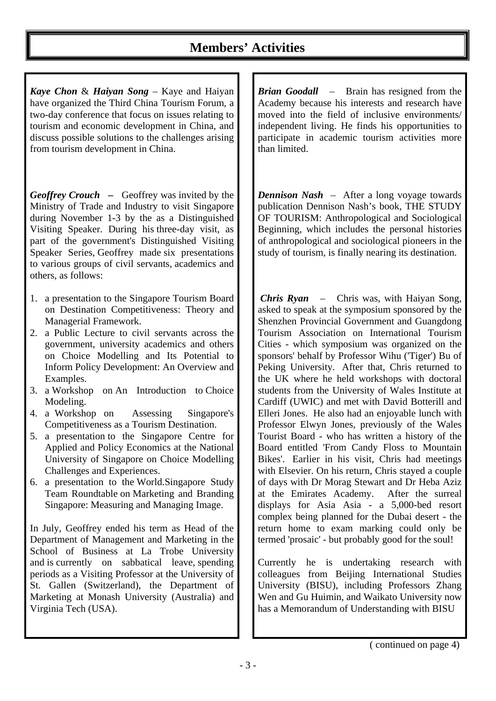#### **Members' Activities**

*Kaye Chon* & *Haiyan Song* – Kaye and Haiyan have organized the Third China Tourism Forum, a two-day conference that focus on issues relating to tourism and economic development in China, and discuss possible solutions to the challenges arising from tourism development in China.

*Geoffrey Crouch –* Geoffrey was invited by the Ministry of Trade and Industry to visit Singapore during November 1-3 by the as a Distinguished Visiting Speaker. During his three-day visit, as part of the government's Distinguished Visiting Speaker Series, Geoffrey made six presentations to various groups of civil servants, academics and others, as follows:

- 1. a presentation to the Singapore Tourism Board on Destination Competitiveness: Theory and Managerial Framework.
- 2. a Public Lecture to civil servants across the government, university academics and others on Choice Modelling and Its Potential to Inform Policy Development: An Overview and Examples.
- 3. a Workshop on An Introduction to Choice Modeling.
- 4. a Workshop on Assessing Singapore's Competitiveness as a Tourism Destination.
- 5. a presentation to the Singapore Centre for Applied and Policy Economics at the National University of Singapore on Choice Modelling Challenges and Experiences.
- 6. a presentation to the World.Singapore Study Team Roundtable on Marketing and Branding Singapore: Measuring and Managing Image.

In July, Geoffrey ended his term as Head of the Department of Management and Marketing in the School of Business at La Trobe University and is currently on sabbatical leave, spending periods as a Visiting Professor at the University of St. Gallen (Switzerland), the Department of Marketing at Monash University (Australia) and Virginia Tech (USA).

*Brian Goodall* – Brain has resigned from the Academy because his interests and research have moved into the field of inclusive environments/ independent living. He finds his opportunities to participate in academic tourism activities more than limited.

*Dennison Nash* – After a long voyage towards publication Dennison Nash's book, THE STUDY OF TOURISM: Anthropological and Sociological Beginning, which includes the personal histories of anthropological and sociological pioneers in the study of tourism, is finally nearing its destination.

*Chris Ryan* – Chris was, with Haiyan Song, asked to speak at the symposium sponsored by the Shenzhen Provincial Government and Guangdong Tourism Association on International Tourism Cities - which symposium was organized on the sponsors' behalf by Professor Wihu ('Tiger') Bu of Peking University. After that, Chris returned to the UK where he held workshops with doctoral students from the University of Wales Institute at Cardiff (UWIC) and met with David Botterill and Elleri Jones. He also had an enjoyable lunch with Professor Elwyn Jones, previously of the Wales Tourist Board - who has written a history of the Board entitled 'From Candy Floss to Mountain Bikes'. Earlier in his visit, Chris had meetings with Elsevier. On his return, Chris stayed a couple of days with Dr Morag Stewart and Dr Heba Aziz at the Emirates Academy. After the surreal displays for Asia Asia - a 5,000-bed resort complex being planned for the Dubai desert - the return home to exam marking could only be termed 'prosaic' - but probably good for the soul!

Currently he is undertaking research with colleagues from Beijing International Studies University (BISU), including Professors Zhang Wen and Gu Huimin, and Waikato University now has a Memorandum of Understanding with BISU

( continued on page 4)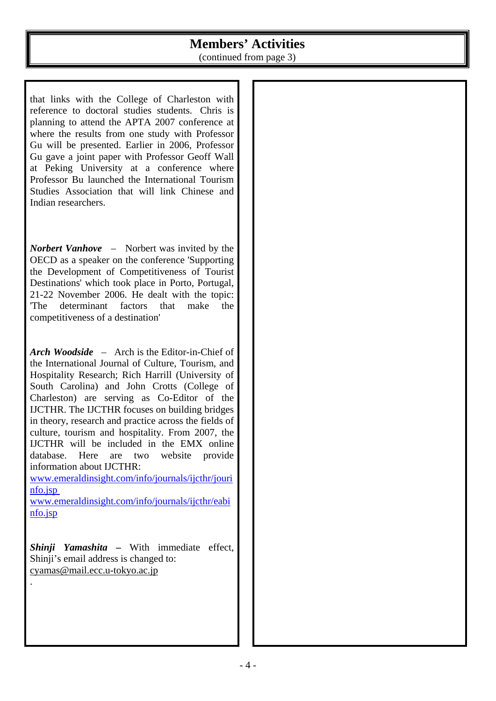#### **Members' Activities**

(continued from page 3)

that links with the College of Charleston with reference to doctoral studies students. Chris is planning to attend the APTA 2007 conference at where the results from one study with Professor Gu will be presented. Earlier in 2006, Professor Gu gave a joint paper with Professor Geoff Wall at Peking University at a conference where Professor Bu launched the International Tourism Studies Association that will link Chinese and Indian researchers.

*Norbert Vanhove* – Norbert was invited by the OECD as a speaker on the conference 'Supporting the Development of Competitiveness of Tourist Destinations' which took place in Porto, Portugal, 21-22 November 2006. He dealt with the topic: 'The determinant factors that make the competitiveness of a destination'

*Arch Woodside* – Arch is the Editor-in-Chief of the International Journal of Culture, Tourism, and Hospitality Research; Rich Harrill (University of South Carolina) and John Crotts (College of Charleston) are serving as Co-Editor of the IJCTHR. The IJCTHR focuses on building bridges in theory, research and practice across the fields of culture, tourism and hospitality. From 2007, the IJCTHR will be included in the EMX online database. Here are two website provide information about IJCTHR:

[www.emeraldinsight.com/info/journals/ijcthr/jouri](http://www.emeraldinsight.com/info/journals/ijcthr/jouri) nfo.jsp

[www.emeraldinsight.com/info/journals/ijcthr/eabi](http://www.emeraldinsight.com/info/journals/ijcthr/eabi) nfo.jsp

*Shinji Yamashita –* With immediate effect, Shinji's email address is changed to: [cyamas@mail.ecc.u-tokyo.ac.jp](mailto:efsola@unwto.org) .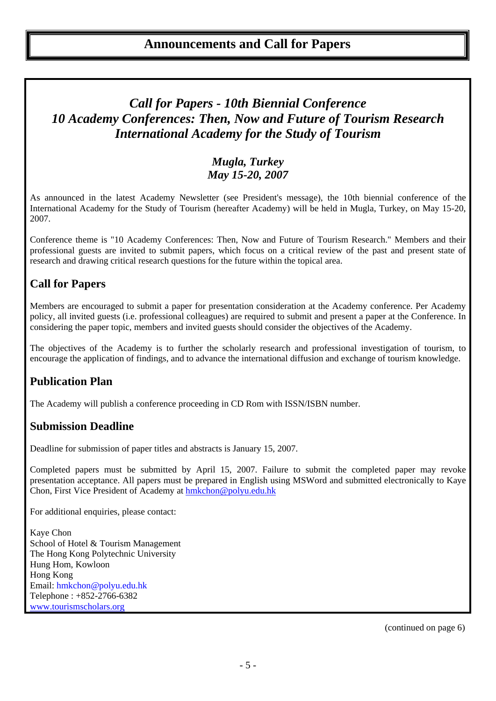#### *Call for Papers - 10th Biennial Conference 10 Academy Conferences: Then, Now and Future of Tourism Research International Academy for the Study of Tourism*

#### *Mugla, Turkey May 15-20, 2007*

As announced in the latest Academy Newsletter (see President's message), the 10th biennial conference of the International Academy for the Study of Tourism (hereafter Academy) will be held in Mugla, Turkey, on May 15-20, 2007.

Conference theme is "10 Academy Conferences: Then, Now and Future of Tourism Research." Members and their professional guests are invited to submit papers, which focus on a critical review of the past and present state of research and drawing critical research questions for the future within the topical area.

#### **Call for Papers**

Members are encouraged to submit a paper for presentation consideration at the Academy conference. Per Academy policy, all invited guests (i.e. professional colleagues) are required to submit and present a paper at the Conference. In considering the paper topic, members and invited guests should consider the objectives of the Academy.

The objectives of the Academy is to further the scholarly research and professional investigation of tourism, to encourage the application of findings, and to advance the international diffusion and exchange of tourism knowledge.

#### **Publication Plan**

The Academy will publish a conference proceeding in CD Rom with ISSN/ISBN number.

#### **Submission Deadline**

Deadline for submission of paper titles and abstracts is January 15, 2007.

Completed papers must be submitted by April 15, 2007. Failure to submit the completed paper may revoke presentation acceptance. All papers must be prepared in English using MSWord and submitted electronically to Kaye Chon, First Vice President of Academy at [hmkchon@polyu.edu.hk](mailto:hmkchon@polyu.edu.hk) 

For additional enquiries, please contact:

Kaye Chon School of Hotel & Tourism Management The Hong Kong Polytechnic University Hung Hom, Kowloon Hong Kong Email: hmkchon@polyu.edu.hk Telephone : +852-2766-6382 [www.tourismscholars.org](http://www.tourismscholars.org/) 

(continued on page 6)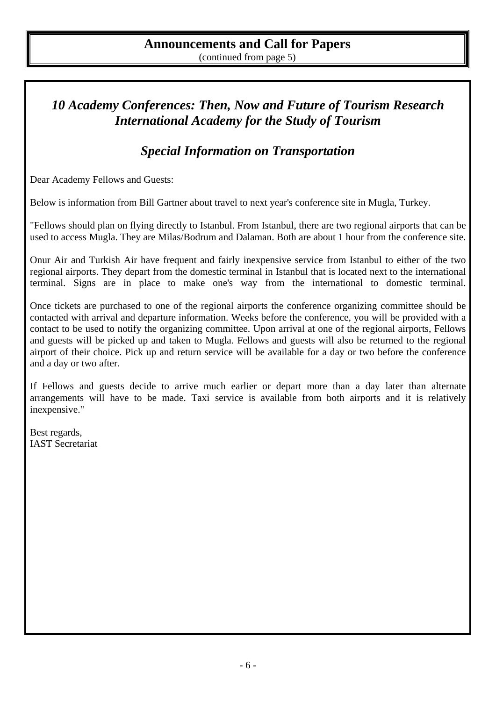(continued from page 5)

#### *10 Academy Conferences: Then, Now and Future of Tourism Research International Academy for the Study of Tourism*

#### *Special Information on Transportation*

Dear Academy Fellows and Guests:

Below is information from Bill Gartner about travel to next year's conference site in Mugla, Turkey.

"Fellows should plan on flying directly to Istanbul. From Istanbul, there are two regional airports that can be used to access Mugla. They are Milas/Bodrum and Dalaman. Both are about 1 hour from the conference site.

Onur Air and Turkish Air have frequent and fairly inexpensive service from Istanbul to either of the two regional airports. They depart from the domestic terminal in Istanbul that is located next to the international terminal. Signs are in place to make one's way from the international to domestic terminal.

Once tickets are purchased to one of the regional airports the conference organizing committee should be contacted with arrival and departure information. Weeks before the conference, you will be provided with a contact to be used to notify the organizing committee. Upon arrival at one of the regional airports, Fellows and guests will be picked up and taken to Mugla. Fellows and guests will also be returned to the regional airport of their choice. Pick up and return service will be available for a day or two before the conference and a day or two after.

If Fellows and guests decide to arrive much earlier or depart more than a day later than alternate arrangements will have to be made. Taxi service is available from both airports and it is relatively inexpensive."

Best regards, IAST Secretariat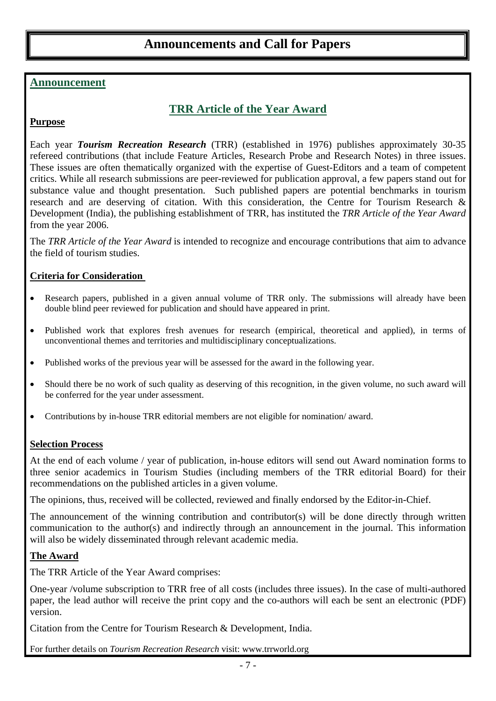#### **Announcement**

#### **TRR Article of the Year Award**

#### **Purpose**

Each year *Tourism Recreation Research* (TRR) (established in 1976) publishes approximately 30-35 refereed contributions (that include Feature Articles, Research Probe and Research Notes) in three issues. These issues are often thematically organized with the expertise of Guest-Editors and a team of competent critics. While all research submissions are peer-reviewed for publication approval, a few papers stand out for substance value and thought presentation. Such published papers are potential benchmarks in tourism research and are deserving of citation. With this consideration, the Centre for Tourism Research & Development (India), the publishing establishment of TRR, has instituted the *TRR Article of the Year Award* from the year 2006.

The *TRR Article of the Year Award* is intended to recognize and encourage contributions that aim to advance the field of tourism studies.

#### **Criteria for Consideration**

- Research papers, published in a given annual volume of TRR only. The submissions will already have been double blind peer reviewed for publication and should have appeared in print.
- Published work that explores fresh avenues for research (empirical, theoretical and applied), in terms of unconventional themes and territories and multidisciplinary conceptualizations.
- Published works of the previous year will be assessed for the award in the following year.
- Should there be no work of such quality as deserving of this recognition, in the given volume, no such award will be conferred for the year under assessment.
- Contributions by in-house TRR editorial members are not eligible for nomination/ award.

#### **Selection Process**

At the end of each volume / year of publication, in-house editors will send out Award nomination forms to three senior academics in Tourism Studies (including members of the TRR editorial Board) for their recommendations on the published articles in a given volume.

The opinions, thus, received will be collected, reviewed and finally endorsed by the Editor-in-Chief.

The announcement of the winning contribution and contributor(s) will be done directly through written communication to the author(s) and indirectly through an announcement in the journal. This information will also be widely disseminated through relevant academic media.

#### **The Award**

The TRR Article of the Year Award comprises:

One-year /volume subscription to TRR free of all costs (includes three issues). In the case of multi-authored paper, the lead author will receive the print copy and the co-authors will each be sent an electronic (PDF) version.

Citation from the Centre for Tourism Research & Development, India.

For further details on *Tourism Recreation Research* visit: www.trrworld.org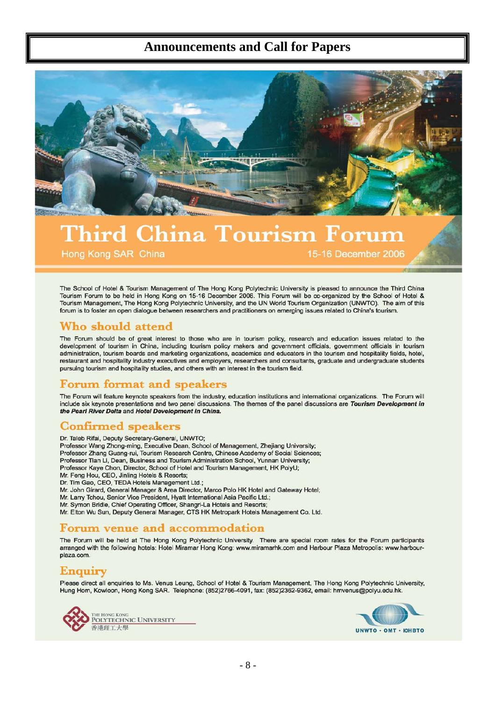

## **Third China Tourism Forum**

Hong Kong SAR China

15-16 December 2006

The School of Hotel & Tourism Management of The Hong Kong Polytechnic University is pleased to announce the Third China Tourism Forum to be held in Hong Kong on 15-16 December 2006. This Forum will be co-organized by the School of Hotel & Tourism Nanagement, The Hong Kong on 15-16 December 2006. This Forum will be co-organized by the School forum is to foster an open dialogue between researchers and practitioners on emerging issues related to China's tourism.

#### Who should attend

The Forum should be of great interest to those who are in tourism policy, research and education issues related to the development of tourism in China, including tourism policy makers and government officials, government officials in tourism administration, tourism boards and marketing organizations, academics and educators in the tourism and hospitality fields, hotel, restaurant and hospitality industry executives and employers, researchers and consultants, graduate and undergraduate students pursuing tourism and hospitality studies, and others with an interest in the tourism field.

#### Forum format and speakers

The Forum will feature keynote speakers from the industry, education institutions and international organizations. The Forum will include six keynote presentations and two panel discussions. The themes of the panel discussions are Tourism Development in the Pearl River Delta and Hotel Development in China.

#### **Confirmed speakers**

Dr. Taleb Rifai, Deputy Secretary-General, UNWTO;

- Professor Wang Zhong-ming, Executive Dean, School of Management, Zhejiang University;
- Professor Zhang Guang-rui, Tourism Research Centre, Chinese Academy of Social Sciences;
- Professor Tian Li, Dean, Business and Tourism Administration School, Yunnan University;
- Professor Kaye Chon, Director, School of Hotel and Tourism Management, HK PolyU;
- Mr. Feng Hou, CEO, Jinling Hotels & Resorts:
- 
- n. Tim Gao, CEO, TEDA Hotels Management Ltd.;<br>Dr. Tim Gao, CEO, TEDA Hotels Management Ltd.;<br>Mr. John Girard, General Manager & Area Director, Marco Polo HK Hotel and Gateway Hotel;
- Mr. Larry Tchou, Senior Vice President, Hyatt International Asia Pacific Ltd.;
- Mr. Symon Bridle, Chief Operating Officer, Shangri-La Hotels and Resorts;
- Mr. Elton Wu Sun, Deputy General Manager, CTS HK Metropark Hotels Management Co. Ltd.

#### Forum venue and accommodation

The Forum will be held at The Hong Kong Polytechnic University. There are special room rates for the Forum participants arranged with the following hotels: Hotel Miramar Hong Kong: www.miramarhk.com and Harbour Plaza Metropolis: www.harbourplaza.com.

#### Enquiry

Please direct all enquiries to Ms. Venus Leung, School of Hotel & Tourism Management, The Hong Kong Polytechnic University, Hung Hom, Kowloon, Hong Kong SAR. Telephone: (852)2766-4091, fax: (852)2362-9362, email: hmvenus@polyu.edu.hk.



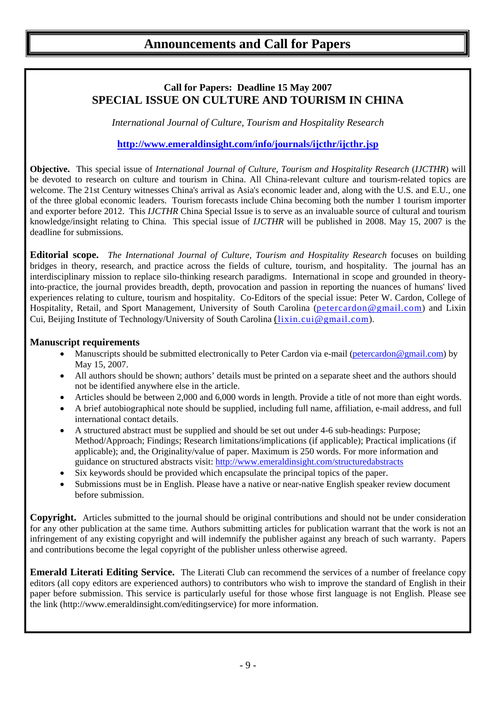#### **Call for Papers: Deadline 15 May 2007 SPECIAL ISSUE ON CULTURE AND TOURISM IN CHINA**

*International Journal of Culture, Tourism and Hospitality Research* 

#### **<http://www.emeraldinsight.com/info/journals/ijcthr/ijcthr.jsp>**

**Objective.** This special issue of *International Journal of Culture, Tourism and Hospitality Research* (*IJCTHR*) will be devoted to research on culture and tourism in China. All China-relevant culture and tourism-related topics are welcome. The 21st Century witnesses China's arrival as Asia's economic leader and, along with the U.S. and E.U., one of the three global economic leaders. Tourism forecasts include China becoming both the number 1 tourism importer and exporter before 2012. This *IJCTHR* China Special Issue is to serve as an invaluable source of cultural and tourism knowledge/insight relating to China. This special issue of *IJCTHR* will be published in 2008. May 15, 2007 is the deadline for submissions.

**Editorial scope.** *The International Journal of Culture, Tourism and Hospitality Research* focuses on building bridges in theory, research, and practice across the fields of culture, tourism, and hospitality. The journal has an interdisciplinary mission to replace silo-thinking research paradigms. International in scope and grounded in theoryinto-practice, the journal provides breadth, depth, provocation and passion in reporting the nuances of humans' lived experiences relating to culture, tourism and hospitality. Co-Editors of the special issue: Peter W. Cardon, College of Hospitality, Retail, and Sport Management, University of South Carolina [\(petercardon@gmail.com\)](mailto:petercardon@gmail.com) and Lixin Cui, Beijing Institute of Technology/University of South Carolina ([lixin.cui@gmail.com](mailto:lixin.cui@gmail.com)).

#### **Manuscript requirements**

- Manuscripts should be submitted electronically to Peter Cardon via e-mail [\(petercardon@gmail.com](mailto:petercardon@gmail.com)) by May 15, 2007.
- All authors should be shown; authors' details must be printed on a separate sheet and the authors should not be identified anywhere else in the article.
- Articles should be between 2,000 and 6,000 words in length. Provide a title of not more than eight words.
- A brief autobiographical note should be supplied, including full name, affiliation, e-mail address, and full international contact details.
- A structured abstract must be supplied and should be set out under 4-6 sub-headings: Purpose; Method/Approach; Findings; Research limitations/implications (if applicable); Practical implications (if applicable); and, the Originality/value of paper. Maximum is 250 words. For more information and guidance on structured abstracts visit: <http://www.emeraldinsight.com/structuredabstracts>
- Six keywords should be provided which encapsulate the principal topics of the paper.
- Submissions must be in English. Please have a native or near-native English speaker review document before submission.

**Copyright.** Articles submitted to the journal should be original contributions and should not be under consideration for any other publication at the same time. Authors submitting articles for publication warrant that the work is not an infringement of any existing copyright and will indemnify the publisher against any breach of such warranty. Papers and contributions become the legal copyright of the publisher unless otherwise agreed.

**Emerald Literati Editing Service.** The Literati Club can recommend the services of a number of freelance copy editors (all copy editors are experienced authors) to contributors who wish to improve the standard of English in their paper before submission. This service is particularly useful for those whose first language is not English. Please see the link (<http://www.emeraldinsight.com/editingservice>) for more information.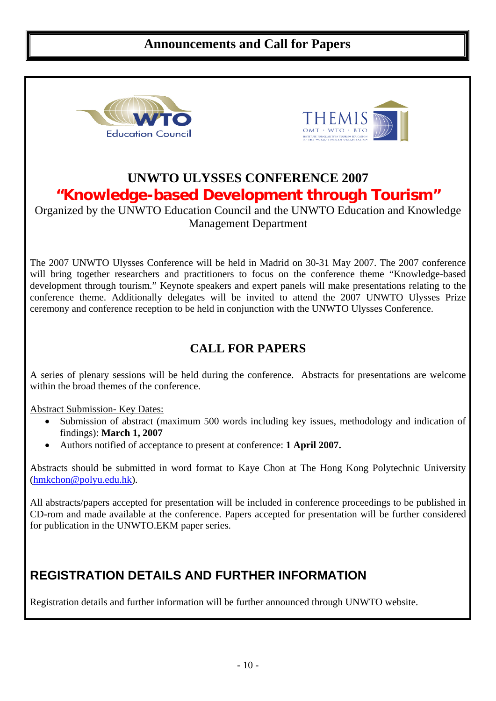



#### **UNWTO ULYSSES CONFERENCE 2007 "Knowledge-based Development through Tourism"**

#### Organized by the UNWTO Education Council and the UNWTO Education and Knowledge Management Department

The 2007 UNWTO Ulysses Conference will be held in Madrid on 30-31 May 2007. The 2007 conference will bring together researchers and practitioners to focus on the conference theme "Knowledge-based development through tourism." Keynote speakers and expert panels will make presentations relating to the conference theme. Additionally delegates will be invited to attend the 2007 UNWTO Ulysses Prize ceremony and conference reception to be held in conjunction with the UNWTO Ulysses Conference.

#### **CALL FOR PAPERS**

A series of plenary sessions will be held during the conference. Abstracts for presentations are welcome within the broad themes of the conference.

Abstract Submission- Key Dates:

- Submission of abstract (maximum 500 words including key issues, methodology and indication of findings): **March 1, 2007**
- Authors notified of acceptance to present at conference: **1 April 2007.**

Abstracts should be submitted in word format to Kaye Chon at The Hong Kong Polytechnic University ([hmkchon@polyu.edu.hk](mailto:hmkchon@polyu.edu.hk)).

All abstracts/papers accepted for presentation will be included in conference proceedings to be published in CD-rom and made available at the conference. Papers accepted for presentation will be further considered for publication in the UNWTO.EKM paper series.

#### **REGISTRATION DETAILS AND FURTHER INFORMATION**

Registration details and further information will be further announced through UNWTO website.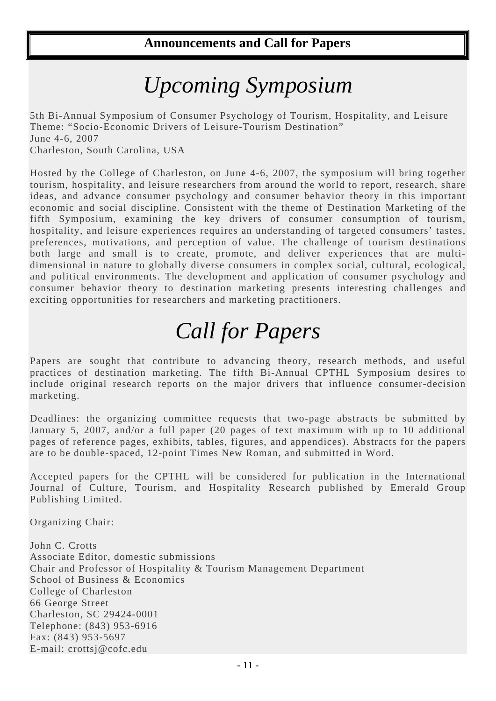# *Upcoming Symposium*

5th Bi-Annual Symposium of Consumer Psychology of Tourism, Hospitality, and Leisure Theme: "Socio-Economic Drivers of Leisure-Tourism Destination" June 4-6, 2007 Charleston, South Carolina, USA

Hosted by the College of Charleston, on June 4-6, 2007, the symposium will bring together tourism, hospitality, and leisure researchers from around the world to report, research, share ideas, and advance consumer psychology and consumer behavior theory in this important economic and social discipline. Consistent with the theme of Destination Marketing of the fifth Symposium, examining the key drivers of consumer consumption of tourism, hospitality, and leisure experiences requires an understanding of targeted consumers' tastes, preferences, motivations, and perception of value. The challenge of tourism destinations both large and small is to create, promote, and deliver experiences that are multidimensional in nature to globally diverse consumers in complex social, cultural, ecological, and political environments. The development and application of consumer psychology and consumer behavior theory to destination marketing presents interesting challenges and exciting opportunities for researchers and marketing practitioners.

# *Call for Papers*

Papers are sought that contribute to advancing theory, research methods, and useful practices of destination marketing. The fifth Bi-Annual CPTHL Symposium desires to include original research reports on the major drivers that influence consumer-decision marketing.

Deadlines: the organizing committee requests that two-page abstracts be submitted by January 5, 2007, and/or a full paper (20 pages of text maximum with up to 10 additional pages of reference pages, exhibits, tables, figures, and appendices). Abstracts for the papers are to be double-spaced, 12-point Times New Roman, and submitted in Word.

Accepted papers for the CPTHL will be considered for publication in the International Journal of Culture, Tourism, and Hospitality Research published by Emerald Group Publishing Limited.

Organizing Chair:

John C. Crotts Associate Editor, domestic submissions Chair and Professor of Hospitality & Tourism Management Department School of Business & Economics College of Charleston 66 George Street Charleston, SC 29424-0001 Telephone: (843) 953-6916 Fax: (843) 953-5697 E-mail: crottsj@cofc.edu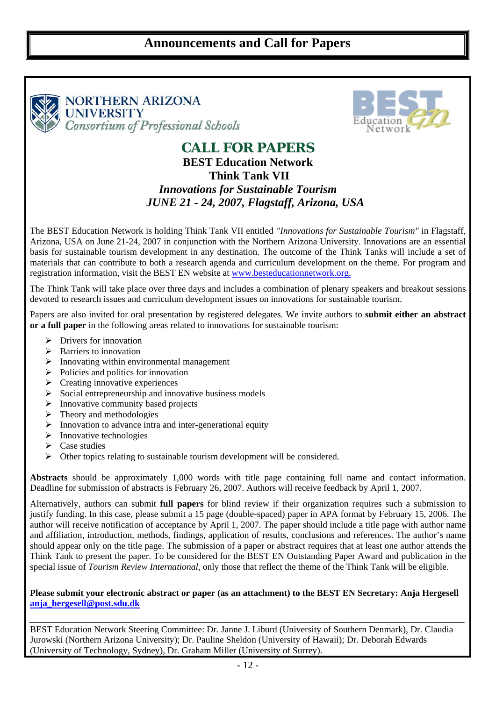

**NORTHERN ARIZONA UNIVERSITY Consortium of Professional Schools** 



### **CALL FOR PAPERS**

#### **BEST Education Network Think Tank VII**  *Innovations for Sustainable Tourism JUNE 21 - 24, 2007, Flagstaff, Arizona, USA*

The BEST Education Network is holding Think Tank VII entitled *"Innovations for Sustainable Tourism"* in Flagstaff, Arizona, USA on June 21-24, 2007 in conjunction with the Northern Arizona University. Innovations are an essential basis for sustainable tourism development in any destination. The outcome of the Think Tanks will include a set of materials that can contribute to both a research agenda and curriculum development on the theme. For program and registration information, visit the BEST EN website at [www.besteducationnetwork.org.](http://www.sustainable/)

The Think Tank will take place over three days and includes a combination of plenary speakers and breakout sessions devoted to research issues and curriculum development issues on innovations for sustainable tourism.

Papers are also invited for oral presentation by registered delegates. We invite authors to **submit either an abstract or a full paper** in the following areas related to innovations for sustainable tourism:

- $\triangleright$  Drivers for innovation
- $\triangleright$  Barriers to innovation
- $\triangleright$  Innovating within environmental management
- $\triangleright$  Policies and politics for innovation
- $\triangleright$  Creating innovative experiences
- $\triangleright$  Social entrepreneurship and innovative business models
- $\triangleright$  Innovative community based projects
- $\triangleright$  Theory and methodologies
- $\triangleright$  Innovation to advance intra and inter-generational equity
- $\triangleright$  Innovative technologies
- $\triangleright$  Case studies
- $\triangleright$  Other topics relating to sustainable tourism development will be considered.

**Abstracts** should be approximately 1,000 words with title page containing full name and contact information. Deadline for submission of abstracts is February 26, 2007. Authors will receive feedback by April 1, 2007.

Alternatively, authors can submit **full papers** for blind review if their organization requires such a submission to justify funding. In this case, please submit a 15 page (double-spaced) paper in APA format by February 15, 2006. The author will receive notification of acceptance by April 1, 2007. The paper should include a title page with author name and affiliation, introduction, methods, findings, application of results, conclusions and references. The author's name should appear only on the title page. The submission of a paper or abstract requires that at least one author attends the Think Tank to present the paper. To be considered for the BEST EN Outstanding Paper Award and publication in the special issue of *Tourism Review International*, only those that reflect the theme of the Think Tank will be eligible.

#### **Please submit your electronic abstract or paper (as an attachment) to the BEST EN Secretary: Anja Hergesell [anja\\_hergesell@post.sdu.dk](mailto:anja_hergesell@post.sdu.dk)**

*\_\_\_\_\_\_\_\_\_\_\_\_\_\_\_\_\_\_\_\_\_\_\_\_\_\_\_\_\_\_\_\_\_\_\_\_\_\_\_\_\_\_\_\_\_\_\_\_\_\_\_\_\_\_\_\_\_\_\_\_\_\_\_\_\_\_\_\_\_\_\_\_\_\_\_\_\_\_\_\_\_\_\_\_\_\_\_\_\_\_\_\_\_\_\_* BEST Education Network Steering Committee: Dr. Janne J. Liburd (University of Southern Denmark), Dr. Claudia Jurowski (Northern Arizona University); Dr. Pauline Sheldon (University of Hawaii); Dr. Deborah Edwards (University of Technology, Sydney), Dr. Graham Miller (University of Surrey).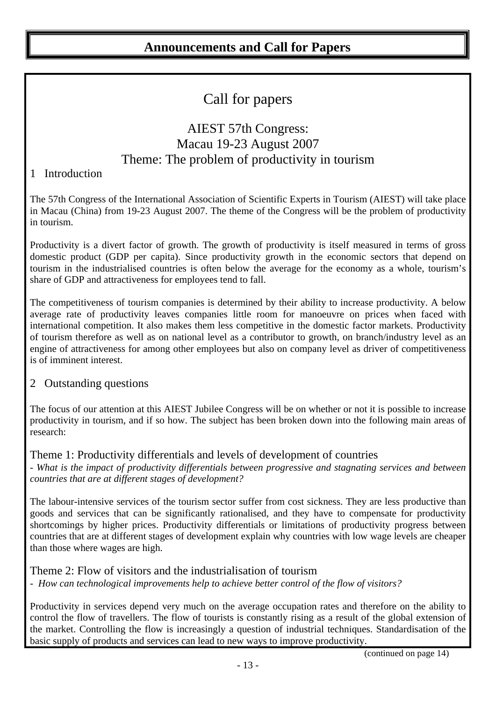### Call for papers

#### AIEST 57th Congress: Macau 19-23 August 2007 Theme: The problem of productivity in tourism

#### 1 Introduction

The 57th Congress of the International Association of Scientific Experts in Tourism (AIEST) will take place in Macau (China) from 19-23 August 2007. The theme of the Congress will be the problem of productivity in tourism.

Productivity is a divert factor of growth. The growth of productivity is itself measured in terms of gross domestic product (GDP per capita). Since productivity growth in the economic sectors that depend on tourism in the industrialised countries is often below the average for the economy as a whole, tourism's share of GDP and attractiveness for employees tend to fall.

The competitiveness of tourism companies is determined by their ability to increase productivity. A below average rate of productivity leaves companies little room for manoeuvre on prices when faced with international competition. It also makes them less competitive in the domestic factor markets. Productivity of tourism therefore as well as on national level as a contributor to growth, on branch/industry level as an engine of attractiveness for among other employees but also on company level as driver of competitiveness is of imminent interest.

#### 2 Outstanding questions

The focus of our attention at this AIEST Jubilee Congress will be on whether or not it is possible to increase productivity in tourism, and if so how. The subject has been broken down into the following main areas of research:

#### Theme 1: Productivity differentials and levels of development of countries

- *What is the impact of productivity differentials between progressive and stagnating services and between countries that are at different stages of development?* 

The labour-intensive services of the tourism sector suffer from cost sickness. They are less productive than goods and services that can be significantly rationalised, and they have to compensate for productivity shortcomings by higher prices. Productivity differentials or limitations of productivity progress between countries that are at different stages of development explain why countries with low wage levels are cheaper than those where wages are high.

Theme 2: Flow of visitors and the industrialisation of tourism - *How can technological improvements help to achieve better control of the flow of visitors?* 

Productivity in services depend very much on the average occupation rates and therefore on the ability to control the flow of travellers. The flow of tourists is constantly rising as a result of the global extension of the market. Controlling the flow is increasingly a question of industrial techniques. Standardisation of the basic supply of products and services can lead to new ways to improve productivity.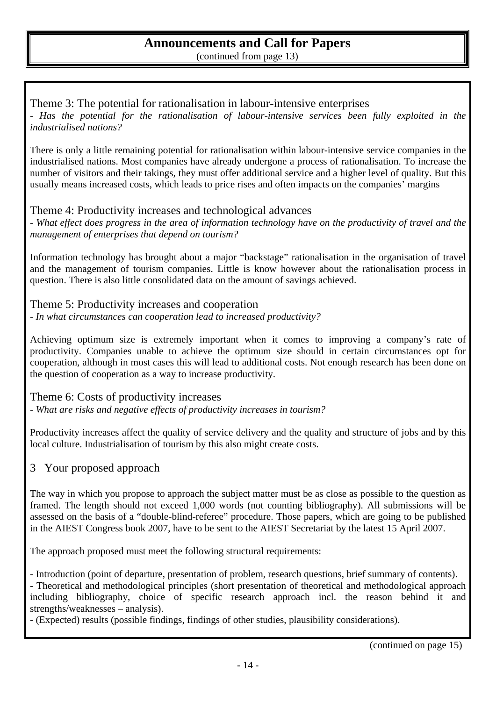(continued from page 13)

Theme 3: The potential for rationalisation in labour-intensive enterprises *- Has the potential for the rationalisation of labour-intensive services been fully exploited in the industrialised nations?* 

There is only a little remaining potential for rationalisation within labour-intensive service companies in the industrialised nations. Most companies have already undergone a process of rationalisation. To increase the number of visitors and their takings, they must offer additional service and a higher level of quality. But this usually means increased costs, which leads to price rises and often impacts on the companies' margins

#### Theme 4: Productivity increases and technological advances

*- What effect does progress in the area of information technology have on the productivity of travel and the management of enterprises that depend on tourism?* 

Information technology has brought about a major "backstage" rationalisation in the organisation of travel and the management of tourism companies. Little is know however about the rationalisation process in question. There is also little consolidated data on the amount of savings achieved.

Theme 5: Productivity increases and cooperation *- In what circumstances can cooperation lead to increased productivity?* 

Achieving optimum size is extremely important when it comes to improving a company's rate of productivity. Companies unable to achieve the optimum size should in certain circumstances opt for cooperation, although in most cases this will lead to additional costs. Not enough research has been done on the question of cooperation as a way to increase productivity.

Theme 6: Costs of productivity increases

*- What are risks and negative effects of productivity increases in tourism?* 

Productivity increases affect the quality of service delivery and the quality and structure of jobs and by this local culture. Industrialisation of tourism by this also might create costs.

#### 3 Your proposed approach

The way in which you propose to approach the subject matter must be as close as possible to the question as framed. The length should not exceed 1,000 words (not counting bibliography). All submissions will be assessed on the basis of a "double-blind-referee" procedure. Those papers, which are going to be published in the AIEST Congress book 2007, have to be sent to the AIEST Secretariat by the latest 15 April 2007.

The approach proposed must meet the following structural requirements:

- Introduction (point of departure, presentation of problem, research questions, brief summary of contents). - Theoretical and methodological principles (short presentation of theoretical and methodological approach including bibliography, choice of specific research approach incl. the reason behind it and strengths/weaknesses – analysis).

- (Expected) results (possible findings, findings of other studies, plausibility considerations).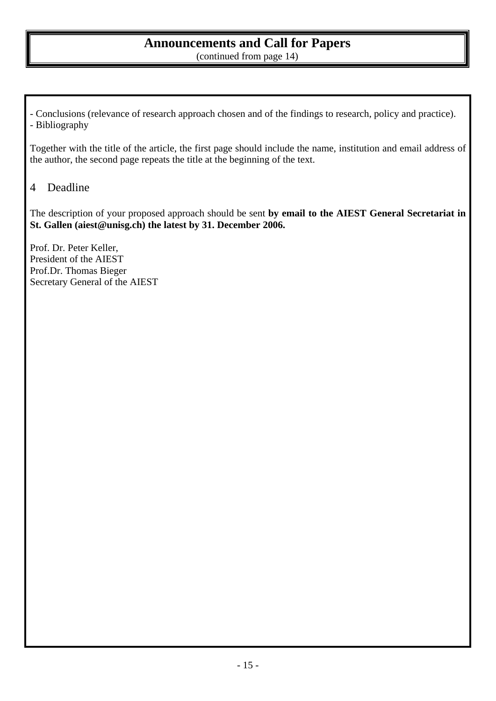(continued from page 14)

- Conclusions (relevance of research approach chosen and of the findings to research, policy and practice). - Bibliography

Together with the title of the article, the first page should include the name, institution and email address of the author, the second page repeats the title at the beginning of the text.

#### 4 Deadline

The description of your proposed approach should be sent **by email to the AIEST General Secretariat in St. Gallen (aiest@unisg.ch) the latest by 31. December 2006.** 

Prof. Dr. Peter Keller, President of the AIEST Prof.Dr. Thomas Bieger Secretary General of the AIEST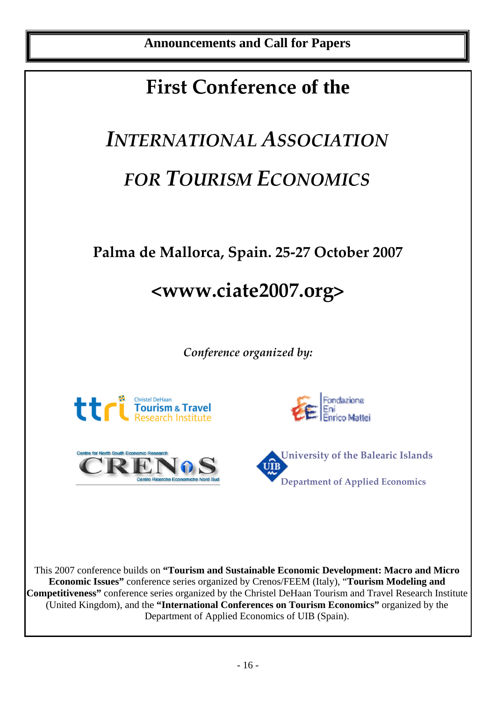## **First Conference of the**

# *INTERNATIONAL ASSOCIATION FOR TOURISM ECONOMICS*

### **Palma de Mallorca, Spain. 25‐27 October 2007**

# **<www.ciate2007.org>**

*Conference organized by:*









This 2007 conference builds on **"Tourism and Sustainable Economic Development: Macro and Micro Economic Issues"** conference series organized by Crenos/FEEM (Italy), "**Tourism Modeling and Competitiveness"** conference series organized by the Christel DeHaan Tourism and Travel Research Institute (United Kingdom), and the **"International Conferences on Tourism Economics"** organized by the Department of Applied Economics of UIB (Spain).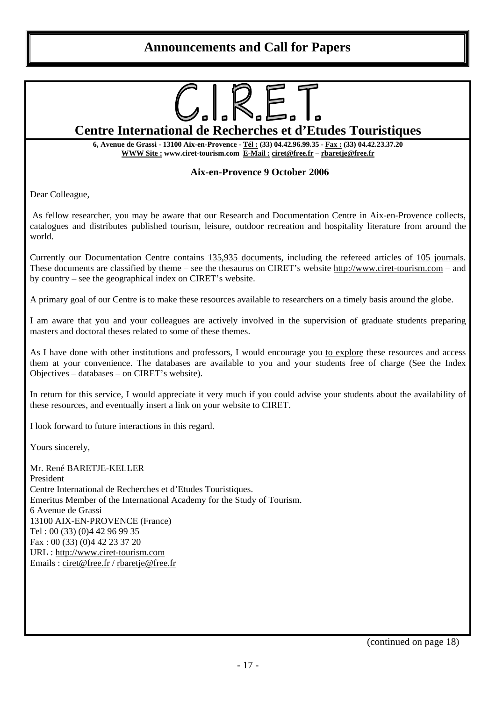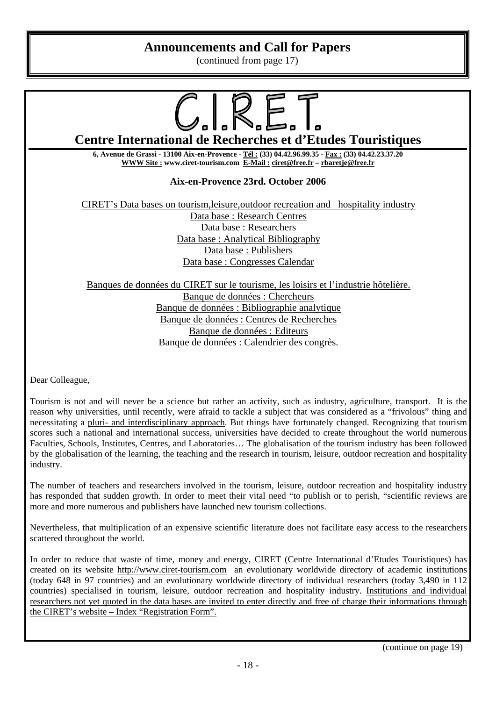(continued from page 17)



Dear Colleague,

Tourism is not and will never be a science but rather an activity, such as industry, agriculture, transport. It is the reason why universities, until recently, were afraid to tackle a subject that was considered as a "frivolous" thing and necessitating a pluri- and interdisciplinary approach. But things have fortunately changed. Recognizing that tourism scores such a national and international success, universities have decided to create throughout the world numerous Faculties, Schools, Institutes, Centres, and Laboratories… The globalisation of the tourism industry has been followed by the globalisation of the learning, the teaching and the research in tourism, leisure, outdoor recreation and hospitality industry.

The number of teachers and researchers involved in the tourism, leisure, outdoor recreation and hospitality industry has responded that sudden growth. In order to meet their vital need "to publish or to perish, "scientific reviews are more and more numerous and publishers have launched new tourism collections.

Nevertheless, that multiplication of an expensive scientific literature does not facilitate easy access to the researchers scattered throughout the world.

In order to reduce that waste of time, money and energy, CIRET (Centre International d'Etudes Touristiques) has created on its website [http://www.ciret-tourism.com](http://www.ciret-tourism.com/) an evolutionary worldwide directory of academic institutions (today 648 in 97 countries) and an evolutionary worldwide directory of individual researchers (today 3,490 in 112 countries) specialised in tourism, leisure, outdoor recreation and hospitality industry. Institutions and individual researchers not yet quoted in the data bases are invited to enter directly and free of charge their informations through the CIRET's website – Index "Registration Form".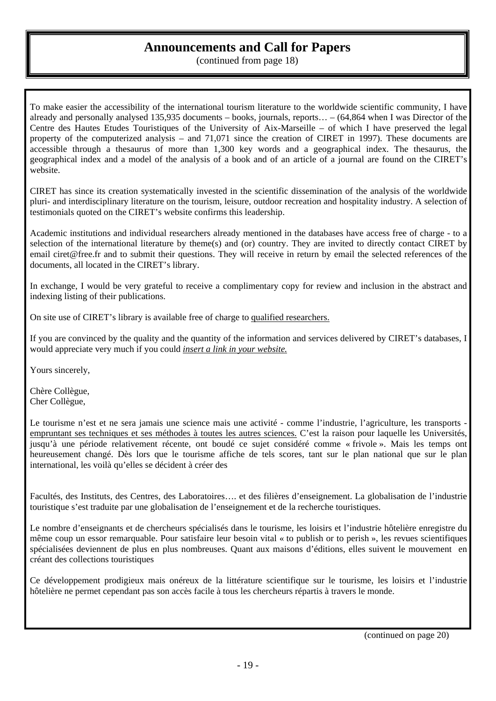(continued from page 18)

To make easier the accessibility of the international tourism literature to the worldwide scientific community, I have already and personally analysed 135,935 documents – books, journals, reports… – (64,864 when I was Director of the Centre des Hautes Etudes Touristiques of the University of Aix-Marseille – of which I have preserved the legal property of the computerized analysis – and 71,071 since the creation of CIRET in 1997). These documents are accessible through a thesaurus of more than 1,300 key words and a geographical index. The thesaurus, the geographical index and a model of the analysis of a book and of an article of a journal are found on the CIRET's website.

CIRET has since its creation systematically invested in the scientific dissemination of the analysis of the worldwide pluri- and interdisciplinary literature on the tourism, leisure, outdoor recreation and hospitality industry. A selection of testimonials quoted on the CIRET's website confirms this leadership.

Academic institutions and individual researchers already mentioned in the databases have access free of charge - to a selection of the international literature by theme(s) and (or) country. They are invited to directly contact CIRET by email [ciret@free.fr](mailto:ciret@free.fr) and to submit their questions. They will receive in return by email the selected references of the documents, all located in the CIRET's library.

In exchange, I would be very grateful to receive a complimentary copy for review and inclusion in the abstract and indexing listing of their publications.

On site use of CIRET's library is available free of charge to qualified researchers.

If you are convinced by the quality and the quantity of the information and services delivered by CIRET's databases, I would appreciate very much if you could *insert a link in your website.*

Yours sincerely,

Chère Collègue, Cher Collègue,

Le tourisme n'est et ne sera jamais une science mais une activité - comme l'industrie, l'agriculture, les transports empruntant ses techniques et ses méthodes à toutes les autres sciences. C'est la raison pour laquelle les Universités, jusqu'à une période relativement récente, ont boudé ce sujet considéré comme « frivole ». Mais les temps ont heureusement changé. Dès lors que le tourisme affiche de tels scores, tant sur le plan national que sur le plan international, les voilà qu'elles se décident à créer des

Facultés, des Instituts, des Centres, des Laboratoires…. et des filières d'enseignement. La globalisation de l'industrie touristique s'est traduite par une globalisation de l'enseignement et de la recherche touristiques.

Le nombre d'enseignants et de chercheurs spécialisés dans le tourisme, les loisirs et l'industrie hôtelière enregistre du même coup un essor remarquable. Pour satisfaire leur besoin vital « to publish or to perish », les revues scientifiques spécialisées deviennent de plus en plus nombreuses. Quant aux maisons d'éditions, elles suivent le mouvement en créant des collections touristiques

Ce développement prodigieux mais onéreux de la littérature scientifique sur le tourisme, les loisirs et l'industrie hôtelière ne permet cependant pas son accès facile à tous les chercheurs répartis à travers le monde.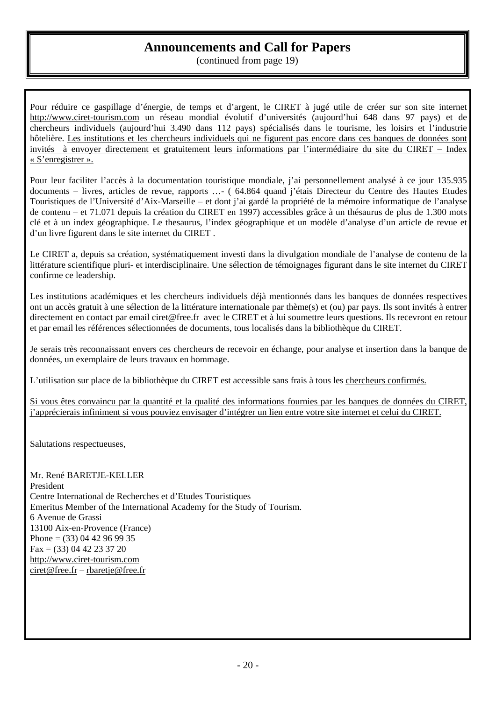(continued from page 19)

Pour réduire ce gaspillage d'énergie, de temps et d'argent, le CIRET à jugé utile de créer sur son site internet [http://www.ciret-tourism.com](http://www.ciret-tourism.com/) un réseau mondial évolutif d'universités (aujourd'hui 648 dans 97 pays) et de chercheurs individuels (aujourd'hui 3.490 dans 112 pays) spécialisés dans le tourisme, les loisirs et l'industrie hôtelière. Les institutions et les chercheurs individuels qui ne figurent pas encore dans ces banques de données sont invités à envoyer directement et gratuitement leurs informations par l'intermédiaire du site du CIRET – Index « S'enregistrer ».

Pour leur faciliter l'accès à la documentation touristique mondiale, j'ai personnellement analysé à ce jour 135.935 documents – livres, articles de revue, rapports …- ( 64.864 quand j'étais Directeur du Centre des Hautes Etudes Touristiques de l'Université d'Aix-Marseille – et dont j'ai gardé la propriété de la mémoire informatique de l'analyse de contenu – et 71.071 depuis la création du CIRET en 1997) accessibles grâce à un thésaurus de plus de 1.300 mots clé et à un index géographique. Le thesaurus, l'index géographique et un modèle d'analyse d'un article de revue et d'un livre figurent dans le site internet du CIRET .

Le CIRET a, depuis sa création, systématiquement investi dans la divulgation mondiale de l'analyse de contenu de la littérature scientifique pluri- et interdisciplinaire. Une sélection de témoignages figurant dans le site internet du CIRET confirme ce leadership.

Les institutions académiques et les chercheurs individuels déjà mentionnés dans les banques de données respectives ont un accès gratuit à une sélection de la littérature internationale par thème(s) et (ou) par pays. Ils sont invités à entrer directement en contact par email [ciret@free.fr](mailto:ciret@free.fr) avec le CIRET et à lui soumettre leurs questions. Ils recevront en retour et par email les références sélectionnées de documents, tous localisés dans la bibliothèque du CIRET.

Je serais très reconnaissant envers ces chercheurs de recevoir en échange, pour analyse et insertion dans la banque de données, un exemplaire de leurs travaux en hommage.

L'utilisation sur place de la bibliothèque du CIRET est accessible sans frais à tous les chercheurs confirmés.

Si vous êtes convaincu par la quantité et la qualité des informations fournies par les banques de données du CIRET, j'apprécierais infiniment si vous pouviez envisager d'intégrer un lien entre votre site internet et celui du CIRET.

Salutations respectueuses,

Mr. René BARETJE-KELLER President Centre International de Recherches et d'Etudes Touristiques Emeritus Member of the International Academy for the Study of Tourism. 6 Avenue de Grassi 13100 Aix-en-Provence (France) Phone =  $(33)$  04 42 96 99 35 Fax = (33) 04 42 23 37 20 [http://www.ciret-tourism.com](http://www.ciret-tourism.com/) [ciret@free.fr](mailto:ciret@free.fr) – [rbaretje@free.fr](mailto:rbaretje@free.fr)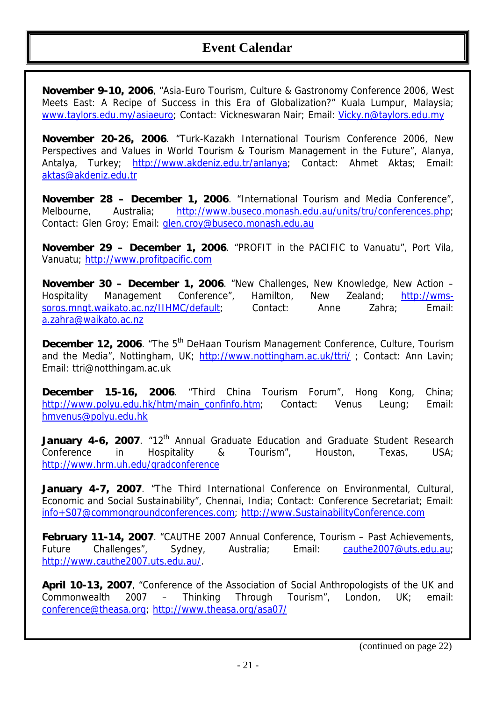#### **Event Calendar**

**November 9-10, 2006**, "Asia-Euro Tourism, Culture & Gastronomy Conference 2006, West Meets East: A Recipe of Success in this Era of Globalization?" Kuala Lumpur, Malaysia; [www.taylors.edu.my/asiaeuro](http://www.taylors.edu.my/asiaeuro); Contact: Vickneswaran Nair; Email: [Vicky.n@taylors.edu.my](mailto:Vicky.n@taylors.edu.my)

**November 20-26, 2006**. "Turk-Kazakh International Tourism Conference 2006, New Perspectives and Values in World Tourism & Tourism Management in the Future", Alanya, Antalya, Turkey; <http://www.akdeniz.edu.tr/anlanya>; Contact: Ahmet Aktas; Email: [aktas@akdeniz.edu.tr](mailto:aktas@akdeniz.edu.tr)

**November 28 – December 1, 2006**. "International Tourism and Media Conference", Melbourne, Australia; [http://www.buseco.monash.edu.au/units/tru/conferences.php;](http://www.buseco.monash.edu.au/units/tru/conferences.php) Contact: Glen Groy; Email: [glen.croy@buseco.monash.edu.au](mailto:glen.croy@buseco.monash.edu.au)

**November 29 – December 1, 2006**. "PROFIT in the PACIFIC to Vanuatu", Port Vila, Vanuatu; [http://www.profitpacific.com](http://www.profitpacific.com/)

**November 30 – December 1, 2006**. "New Challenges, New Knowledge, New Action – Hospitality Management Conference", Hamilton, New Zealand; [http://wms](http://wms-soros.mngt.waikato.ac.nz/IIHMC/default)[soros.mngt.waikato.ac.nz/IIHMC/default](http://wms-soros.mngt.waikato.ac.nz/IIHMC/default); Contact: Anne Zahra; Email: [a.zahra@waikato.ac.nz](mailto:a.zahra@waikato.ac.nz)

**December 12, 2006**. "The 5<sup>th</sup> DeHaan Tourism Management Conference, Culture, Tourism and the Media", Nottingham, UK; <http://www.nottingham.ac.uk/ttri/>; Contact: Ann Lavin; Email: ttri@notthingam.ac.uk

**December 15-16, 2006**. "Third China Tourism Forum", Hong Kong, China; [http://www.polyu.edu.hk/htm/main\\_confinfo.htm;](http://www.polyu.edu.hk/htm/main_confinfo.htm) Contact: Venus Leung; Email: [hmvenus@polyu.edu.hk](mailto:hmvenus@polyu.edu.hk)

**January 4-6, 2007.** "12<sup>th</sup> Annual Graduate Education and Graduate Student Research Conference in Hospitality & Tourism", Houston, Texas, USA; <http://www.hrm.uh.edu/gradconference>

**January 4-7, 2007**. "The Third International Conference on Environmental, Cultural, Economic and Social Sustainability", Chennai, India; Contact: Conference Secretariat; Email: [info+S07@commongroundconferences.com;](mailto:info+S07@commongroundconferences.com) [http://www.SustainabilityConference.com](http://www.sustainabilityconference.com/) 

**February 11-14, 2007**. "CAUTHE 2007 Annual Conference, Tourism – Past Achievements, Future Challenges", Sydney, Australia; Email: [cauthe2007@uts.edu.au;](mailto:ian.mcdonnell@uts.edu.au) <http://www.cauthe2007.uts.edu.au/>.

**April 10-13, 2007**, "Conference of the Association of Social Anthropologists of the UK and Commonwealth 2007 – Thinking Through Tourism", London, UK; email: [conference@theasa.org](mailto:conference@theasa.org);<http://www.theasa.org/asa07/>